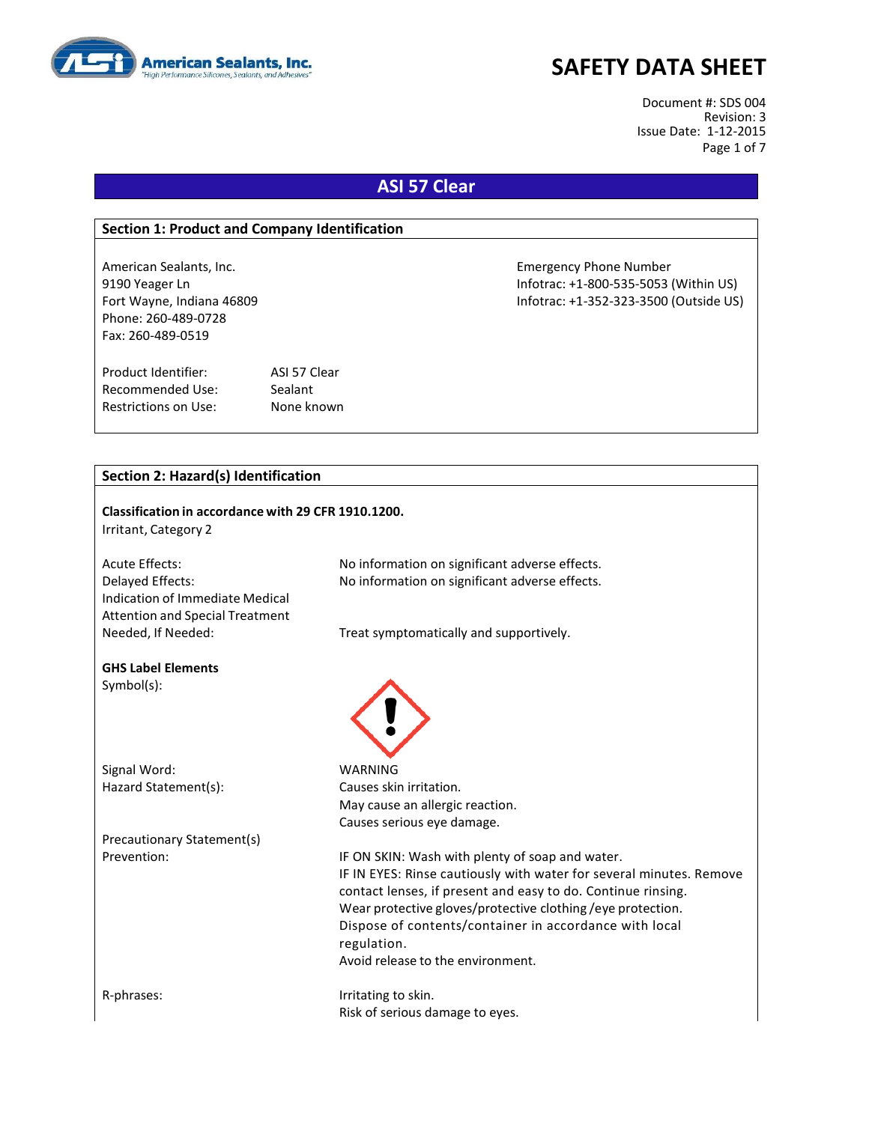

Document #: SDS 004 Revision: 3 Issue Date: 1-12-2015 Page 1 of 7

# **ASI 57 Clear**

#### **Section 1: Product and Company Identification**

Phone: 260-489-0728 Fax: 260-489-0519

Product Identifier: ASI 57 Clear Recommended Use: Sealant Restrictions on Use: None known

American Sealants, Inc. Emergency Phone Number 9190 Yeager Ln **Informac: +1-800-535-5053** (Within US) Fort Wayne, Indiana 46809 Infotrac: +1-352-323-3500 (Outside US)

#### **Section 2: Hazard(s) Identification**

| Classification in accordance with 29 CFR 1910.1200.<br>Irritant, Category 2                   |                                                                                                                                                                                                                                                                                                                                                                    |
|-----------------------------------------------------------------------------------------------|--------------------------------------------------------------------------------------------------------------------------------------------------------------------------------------------------------------------------------------------------------------------------------------------------------------------------------------------------------------------|
| <b>Acute Effects:</b>                                                                         | No information on significant adverse effects.                                                                                                                                                                                                                                                                                                                     |
| Delayed Effects:<br>Indication of Immediate Medical<br><b>Attention and Special Treatment</b> | No information on significant adverse effects.                                                                                                                                                                                                                                                                                                                     |
| Needed, If Needed:                                                                            | Treat symptomatically and supportively.                                                                                                                                                                                                                                                                                                                            |
| <b>GHS Label Elements</b><br>$Symbol(s)$ :                                                    |                                                                                                                                                                                                                                                                                                                                                                    |
| Signal Word:                                                                                  | <b>WARNING</b>                                                                                                                                                                                                                                                                                                                                                     |
| Hazard Statement(s):                                                                          | Causes skin irritation.                                                                                                                                                                                                                                                                                                                                            |
|                                                                                               | May cause an allergic reaction.                                                                                                                                                                                                                                                                                                                                    |
|                                                                                               | Causes serious eye damage.                                                                                                                                                                                                                                                                                                                                         |
| Precautionary Statement(s)                                                                    |                                                                                                                                                                                                                                                                                                                                                                    |
| Prevention:                                                                                   | IF ON SKIN: Wash with plenty of soap and water.<br>IF IN EYES: Rinse cautiously with water for several minutes. Remove<br>contact lenses, if present and easy to do. Continue rinsing.<br>Wear protective gloves/protective clothing/eye protection.<br>Dispose of contents/container in accordance with local<br>regulation.<br>Avoid release to the environment. |
| R-phrases:                                                                                    | Irritating to skin.<br>Risk of serious damage to eyes.                                                                                                                                                                                                                                                                                                             |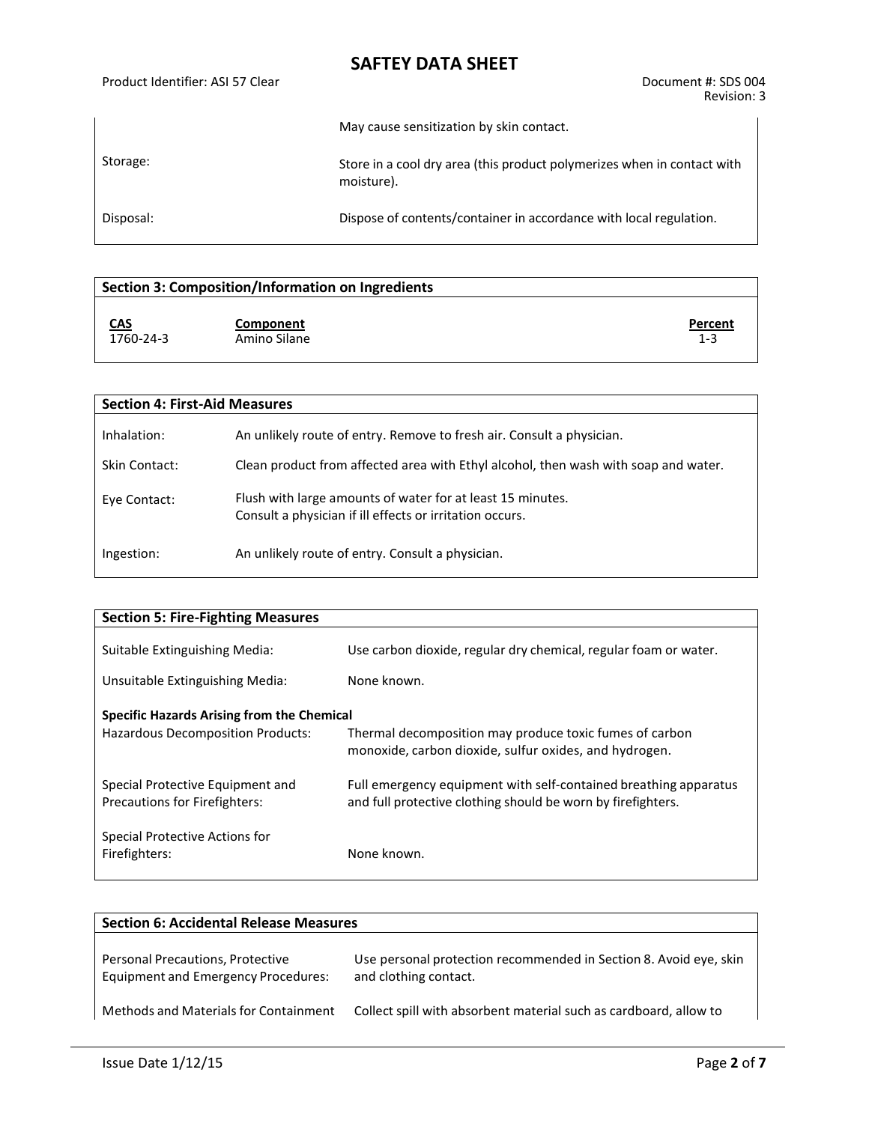Product Identifier: ASI 57 Clear Document #: SDS 004

Revision: 3

|           | May cause sensitization by skin contact.                                              |  |
|-----------|---------------------------------------------------------------------------------------|--|
| Storage:  | Store in a cool dry area (this product polymerizes when in contact with<br>moisture). |  |
| Disposal: | Dispose of contents/container in accordance with local regulation.                    |  |

| Section 3: Composition/Information on Ingredients    |                    |  |  |
|------------------------------------------------------|--------------------|--|--|
| <u>CAS</u><br>Component<br>1760-24-3<br>Amino Silane | Percent<br>$1 - 3$ |  |  |

| <b>Section 4: First-Aid Measures</b> |                                                                                                                        |  |  |  |
|--------------------------------------|------------------------------------------------------------------------------------------------------------------------|--|--|--|
| Inhalation:                          | An unlikely route of entry. Remove to fresh air. Consult a physician.                                                  |  |  |  |
| Skin Contact:                        | Clean product from affected area with Ethyl alcohol, then wash with soap and water.                                    |  |  |  |
| Eye Contact:                         | Flush with large amounts of water for at least 15 minutes.<br>Consult a physician if ill effects or irritation occurs. |  |  |  |
| Ingestion:                           | An unlikely route of entry. Consult a physician.                                                                       |  |  |  |

| <b>Section 5: Fire-Fighting Measures</b>                                        |                                                                                                                                  |
|---------------------------------------------------------------------------------|----------------------------------------------------------------------------------------------------------------------------------|
| Suitable Extinguishing Media:                                                   | Use carbon dioxide, regular dry chemical, regular foam or water.                                                                 |
| Unsuitable Extinguishing Media:                                                 | None known.                                                                                                                      |
| Specific Hazards Arising from the Chemical<br>Hazardous Decomposition Products: | Thermal decomposition may produce toxic fumes of carbon<br>monoxide, carbon dioxide, sulfur oxides, and hydrogen.                |
| Special Protective Equipment and<br><b>Precautions for Firefighters:</b>        | Full emergency equipment with self-contained breathing apparatus<br>and full protective clothing should be worn by firefighters. |
| Special Protective Actions for<br>Firefighters:                                 | None known.                                                                                                                      |

| <b>Section 6: Accidental Release Measures</b>                                  |                                                                                            |  |  |
|--------------------------------------------------------------------------------|--------------------------------------------------------------------------------------------|--|--|
| Personal Precautions, Protective<br><b>Equipment and Emergency Procedures:</b> | Use personal protection recommended in Section 8. Avoid eye, skin<br>and clothing contact. |  |  |
| Methods and Materials for Containment                                          | Collect spill with absorbent material such as cardboard, allow to                          |  |  |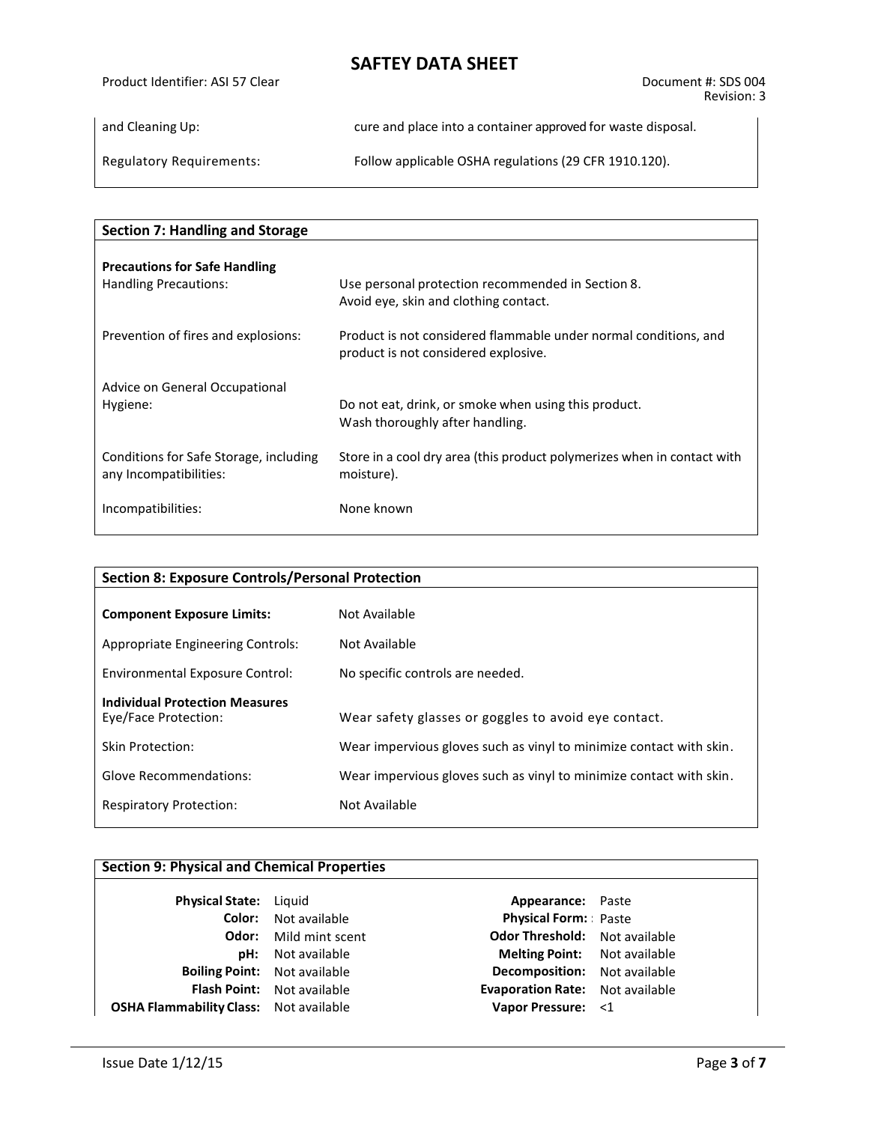Product Identifier: ASI 57 Clear Document #: SDS 004 Revision: 3

and Cleaning Up: cure and place into a container approved for waste disposal.

Regulatory Requirements: Follow applicable OSHA regulations (29 CFR 1910.120).

| <b>Section 7: Handling and Storage</b> |                                                                                                          |
|----------------------------------------|----------------------------------------------------------------------------------------------------------|
| <b>Precautions for Safe Handling</b>   | Use personal protection recommended in Section 8.                                                        |
| Handling Precautions:                  | Avoid eye, skin and clothing contact.                                                                    |
| Prevention of fires and explosions:    | Product is not considered flammable under normal conditions, and<br>product is not considered explosive. |
| Advice on General Occupational         | Do not eat, drink, or smoke when using this product.                                                     |
| Hygiene:                               | Wash thoroughly after handling.                                                                          |
| Conditions for Safe Storage, including | Store in a cool dry area (this product polymerizes when in contact with                                  |
| any Incompatibilities:                 | moisture).                                                                                               |
| Incompatibilities:                     | None known                                                                                               |

| <b>Section 8: Exposure Controls/Personal Protection</b>       |                                                                     |  |  |
|---------------------------------------------------------------|---------------------------------------------------------------------|--|--|
| <b>Component Exposure Limits:</b>                             | Not Available                                                       |  |  |
| Appropriate Engineering Controls:                             | Not Available                                                       |  |  |
| Environmental Exposure Control:                               | No specific controls are needed.                                    |  |  |
| <b>Individual Protection Measures</b><br>Eye/Face Protection: | Wear safety glasses or goggles to avoid eye contact.                |  |  |
| <b>Skin Protection:</b>                                       | Wear impervious gloves such as vinyl to minimize contact with skin. |  |  |
| <b>Glove Recommendations:</b>                                 | Wear impervious gloves such as vinyl to minimize contact with skin. |  |  |
| <b>Respiratory Protection:</b>                                | Not Available                                                       |  |  |

### **Section 9: Physical and Chemical Properties**

| Physical State: Liquid                        |                             |
|-----------------------------------------------|-----------------------------|
|                                               | <b>Color:</b> Not available |
| Odor:                                         | Mild mint scent             |
| pH:                                           | Not available               |
| <b>Boiling Point:</b> Not available           |                             |
| <b>Flash Point:</b>                           | Not available               |
| <b>OSHA Flammability Class:</b> Not available |                             |

**Appearance:** Paste **Physical Form:: Paste Odor Threshold:** Not available **Melting Point:** Not available **Becomposition:** Not available **Evaporation Rate:** Not available **Vapor Pressure:** <1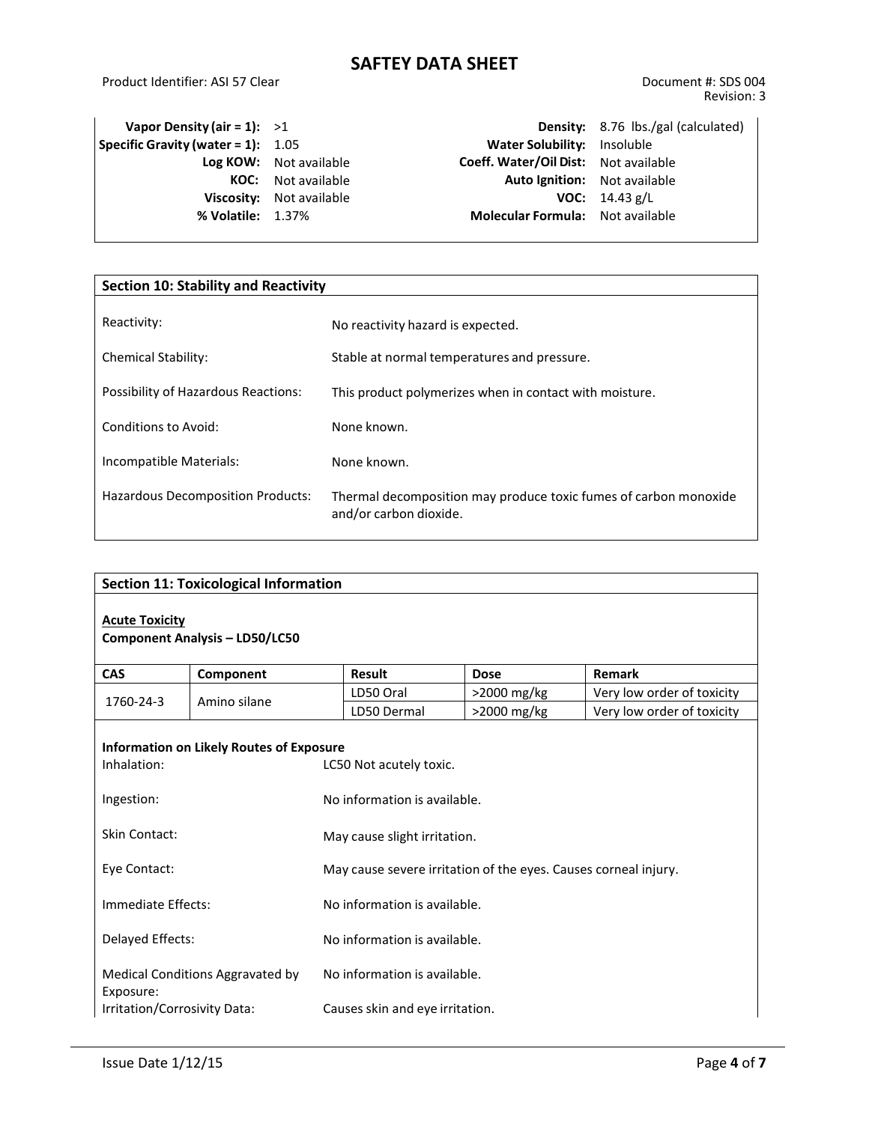Product Identifier: ASI 57 Clear Document #: SDS 004

| Vapor Density (air = 1): $>1$         |                          |                                         | <b>Density:</b> 8.76 lbs./gal (calculated) |
|---------------------------------------|--------------------------|-----------------------------------------|--------------------------------------------|
| Specific Gravity (water = $1$ ): 1.05 |                          | Water Solubility: Insoluble             |                                            |
|                                       | Log KOW: Not available   | Coeff. Water/Oil Dist: Not available    |                                            |
| KOC:                                  | Not available            | <b>Auto Ignition:</b> Not available     |                                            |
|                                       | Viscosity: Not available |                                         | <b>VOC:</b> $14.43 g/L$                    |
| % Volatile: 1.37%                     |                          | <b>Molecular Formula:</b> Not available |                                            |
|                                       |                          |                                         |                                            |

| <b>Section 10: Stability and Reactivity</b> |                                                                                            |  |  |
|---------------------------------------------|--------------------------------------------------------------------------------------------|--|--|
| Reactivity:                                 | No reactivity hazard is expected.                                                          |  |  |
| <b>Chemical Stability:</b>                  | Stable at normal temperatures and pressure.                                                |  |  |
| Possibility of Hazardous Reactions:         | This product polymerizes when in contact with moisture.                                    |  |  |
| Conditions to Avoid:                        | None known.                                                                                |  |  |
| Incompatible Materials:                     | None known.                                                                                |  |  |
| <b>Hazardous Decomposition Products:</b>    | Thermal decomposition may produce toxic fumes of carbon monoxide<br>and/or carbon dioxide. |  |  |

| <b>Section 11: Toxicological Information</b>                   |                                                 |                                                                 |                              |                            |  |
|----------------------------------------------------------------|-------------------------------------------------|-----------------------------------------------------------------|------------------------------|----------------------------|--|
| <b>Acute Toxicity</b><br><b>Component Analysis - LD50/LC50</b> |                                                 |                                                                 |                              |                            |  |
| <b>CAS</b>                                                     | Component                                       | Result                                                          | <b>Dose</b>                  | Remark                     |  |
| 1760-24-3                                                      | Amino silane                                    | LD50 Oral                                                       | >2000 mg/kg                  | Very low order of toxicity |  |
|                                                                |                                                 | LD50 Dermal                                                     | >2000 mg/kg                  | Very low order of toxicity |  |
| Inhalation:                                                    | <b>Information on Likely Routes of Exposure</b> | LC50 Not acutely toxic.                                         |                              |                            |  |
| Ingestion:                                                     |                                                 | No information is available.                                    |                              |                            |  |
| Skin Contact:                                                  |                                                 | May cause slight irritation.                                    |                              |                            |  |
| Eye Contact:                                                   |                                                 | May cause severe irritation of the eyes. Causes corneal injury. |                              |                            |  |
| Immediate Effects:                                             |                                                 | No information is available.                                    |                              |                            |  |
| Delayed Effects:                                               |                                                 | No information is available.                                    |                              |                            |  |
| Medical Conditions Aggravated by<br>Exposure:                  |                                                 |                                                                 | No information is available. |                            |  |
| Irritation/Corrosivity Data:                                   |                                                 | Causes skin and eye irritation.                                 |                              |                            |  |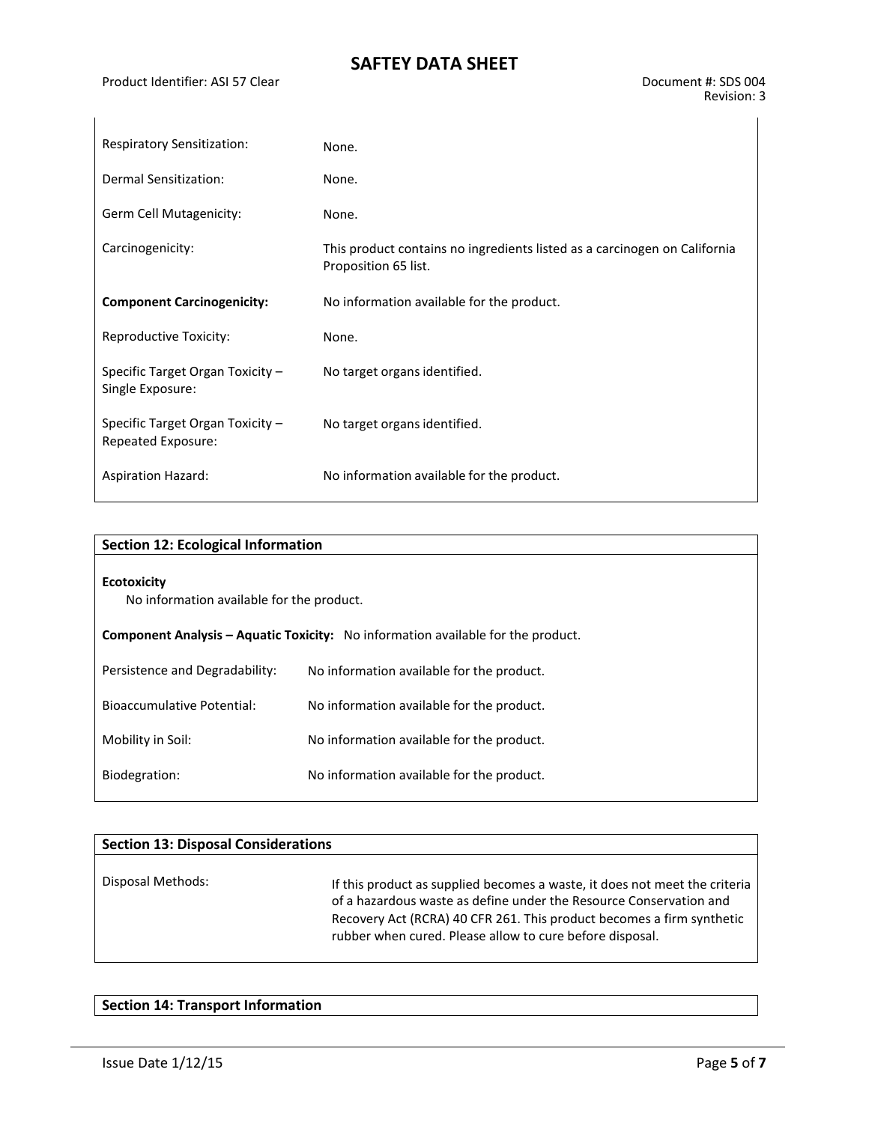Product Identifier: ASI 57 Clear Document #: SDS 004

| <b>Respiratory Sensitization:</b>                      | None.                                                                                             |
|--------------------------------------------------------|---------------------------------------------------------------------------------------------------|
| Dermal Sensitization:                                  | None.                                                                                             |
| Germ Cell Mutagenicity:                                | None.                                                                                             |
| Carcinogenicity:                                       | This product contains no ingredients listed as a carcinogen on California<br>Proposition 65 list. |
| <b>Component Carcinogenicity:</b>                      | No information available for the product.                                                         |
| Reproductive Toxicity:                                 | None.                                                                                             |
| Specific Target Organ Toxicity -<br>Single Exposure:   | No target organs identified.                                                                      |
| Specific Target Organ Toxicity -<br>Repeated Exposure: | No target organs identified.                                                                      |
| <b>Aspiration Hazard:</b>                              | No information available for the product.                                                         |

| <b>Section 12: Ecological Information</b>                       |                                                                                         |
|-----------------------------------------------------------------|-----------------------------------------------------------------------------------------|
| <b>Ecotoxicity</b><br>No information available for the product. |                                                                                         |
|                                                                 | <b>Component Analysis – Aquatic Toxicity:</b> No information available for the product. |
| Persistence and Degradability:                                  | No information available for the product.                                               |
| Bioaccumulative Potential:                                      | No information available for the product.                                               |
| Mobility in Soil:                                               | No information available for the product.                                               |
| Biodegration:                                                   | No information available for the product.                                               |

| <b>Section 13: Disposal Considerations</b> |                                                                                                                                                                                                                                                                                       |
|--------------------------------------------|---------------------------------------------------------------------------------------------------------------------------------------------------------------------------------------------------------------------------------------------------------------------------------------|
| Disposal Methods:                          | If this product as supplied becomes a waste, it does not meet the criteria<br>of a hazardous waste as define under the Resource Conservation and<br>Recovery Act (RCRA) 40 CFR 261. This product becomes a firm synthetic<br>rubber when cured. Please allow to cure before disposal. |

### **Section 14: Transport Information**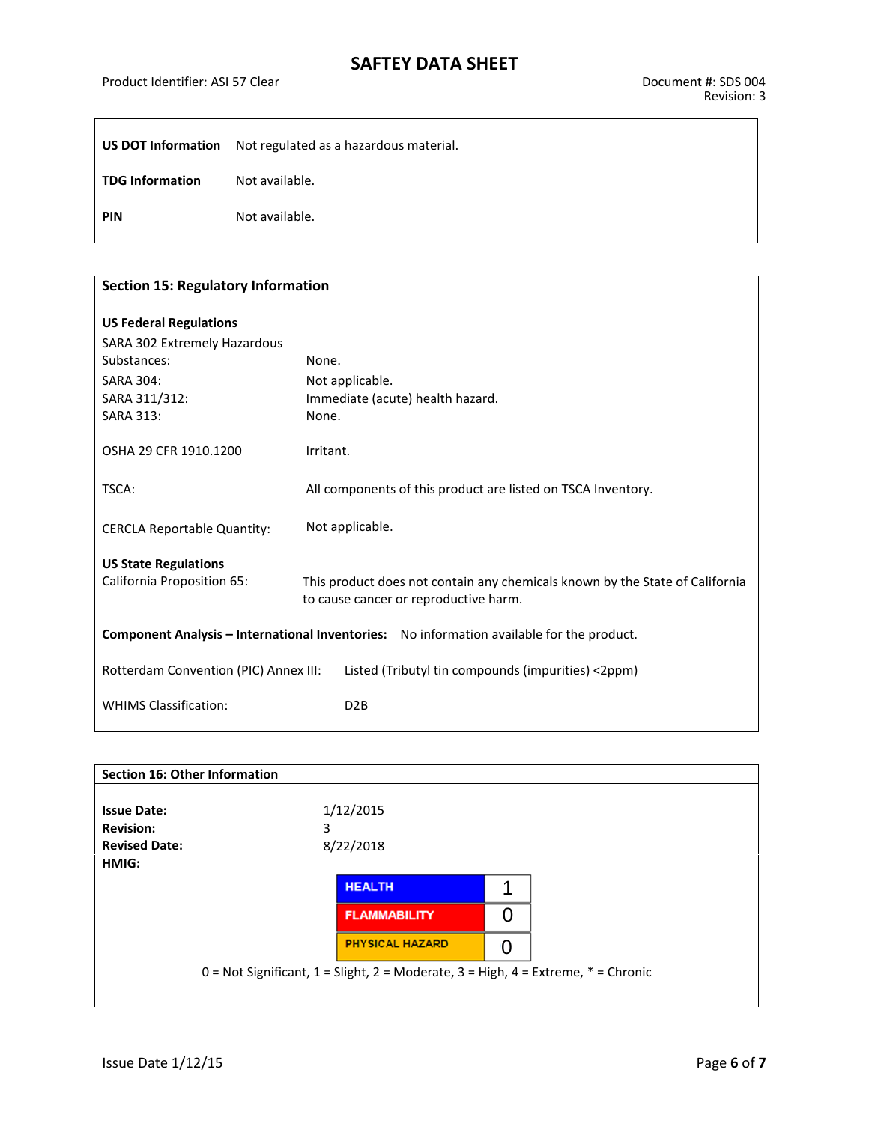Product Identifier: ASI 57 Clear Document #: SDS 004

|                        | <b>US DOT Information</b> Not regulated as a hazardous material. |
|------------------------|------------------------------------------------------------------|
| <b>TDG Information</b> | Not available.                                                   |
| <b>PIN</b>             | Not available.                                                   |

| <b>Section 15: Regulatory Information</b>                                                 |                                                                                                                       |  |  |  |
|-------------------------------------------------------------------------------------------|-----------------------------------------------------------------------------------------------------------------------|--|--|--|
|                                                                                           |                                                                                                                       |  |  |  |
| <b>US Federal Regulations</b>                                                             |                                                                                                                       |  |  |  |
| SARA 302 Extremely Hazardous                                                              |                                                                                                                       |  |  |  |
| Substances:                                                                               | None.                                                                                                                 |  |  |  |
| <b>SARA 304:</b>                                                                          | Not applicable.                                                                                                       |  |  |  |
| SARA 311/312:                                                                             | Immediate (acute) health hazard.                                                                                      |  |  |  |
| <b>SARA 313:</b>                                                                          | None.                                                                                                                 |  |  |  |
| OSHA 29 CFR 1910.1200                                                                     | Irritant.                                                                                                             |  |  |  |
| TSCA:                                                                                     | All components of this product are listed on TSCA Inventory.                                                          |  |  |  |
| <b>CERCLA Reportable Quantity:</b>                                                        | Not applicable.                                                                                                       |  |  |  |
| <b>US State Regulations</b>                                                               |                                                                                                                       |  |  |  |
| <b>California Proposition 65:</b>                                                         | This product does not contain any chemicals known by the State of California<br>to cause cancer or reproductive harm. |  |  |  |
| Component Analysis - International Inventories: No information available for the product. |                                                                                                                       |  |  |  |
| Rotterdam Convention (PIC) Annex III:                                                     | Listed (Tributyl tin compounds (impurities) <2ppm)                                                                    |  |  |  |
| <b>WHIMS Classification:</b>                                                              | D <sub>2</sub> B                                                                                                      |  |  |  |

| <b>Section 16: Other Information</b> |                                                                                               |    |
|--------------------------------------|-----------------------------------------------------------------------------------------------|----|
|                                      |                                                                                               |    |
| <b>Issue Date:</b>                   | 1/12/2015                                                                                     |    |
| <b>Revision:</b>                     | 3                                                                                             |    |
| <b>Revised Date:</b>                 | 8/22/2018                                                                                     |    |
| HMIG:                                |                                                                                               |    |
|                                      | <b>HEALTH</b>                                                                                 |    |
|                                      | <b>FLAMMABILITY</b>                                                                           | 0  |
|                                      | <b>PHYSICAL HAZARD</b>                                                                        | ١O |
|                                      | $0 = Not$ Significant, $1 =$ Slight, $2 =$ Moderate, $3 =$ High, $4 =$ Extreme, $* =$ Chronic |    |